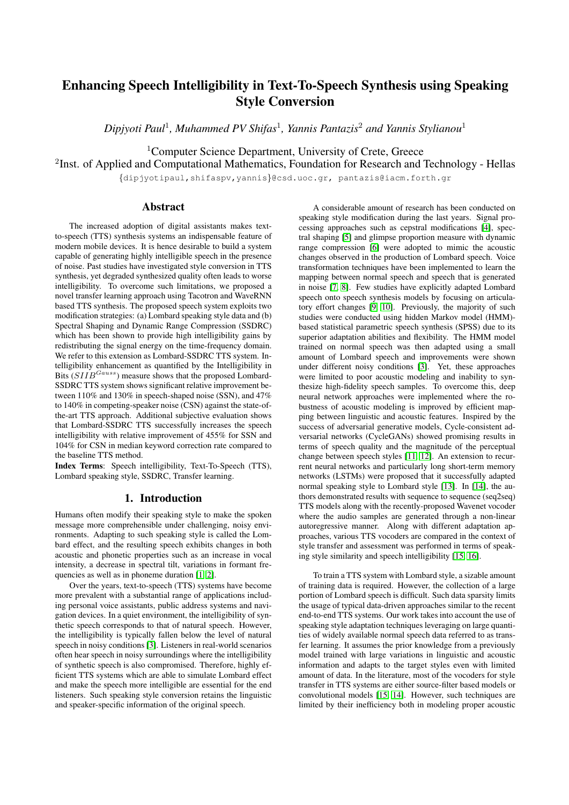# Enhancing Speech Intelligibility in Text-To-Speech Synthesis using Speaking Style Conversion

*Dipjyoti Paul*<sup>1</sup> *, Muhammed PV Shifas*<sup>1</sup> *, Yannis Pantazis*<sup>2</sup> *and Yannis Stylianou*<sup>1</sup>

<sup>1</sup>Computer Science Department, University of Crete, Greece

<sup>2</sup>Inst. of Applied and Computational Mathematics, Foundation for Research and Technology - Hellas

{dipjyotipaul,shifaspv,yannis}@csd.uoc.gr, pantazis@iacm.forth.gr

# Abstract

The increased adoption of digital assistants makes textto-speech (TTS) synthesis systems an indispensable feature of modern mobile devices. It is hence desirable to build a system capable of generating highly intelligible speech in the presence of noise. Past studies have investigated style conversion in TTS synthesis, yet degraded synthesized quality often leads to worse intelligibility. To overcome such limitations, we proposed a novel transfer learning approach using Tacotron and WaveRNN based TTS synthesis. The proposed speech system exploits two modification strategies: (a) Lombard speaking style data and (b) Spectral Shaping and Dynamic Range Compression (SSDRC) which has been shown to provide high intelligibility gains by redistributing the signal energy on the time-frequency domain. We refer to this extension as Lombard-SSDRC TTS system. Intelligibility enhancement as quantified by the Intelligibility in Bits  $(SIIB^{Gauss})$  measure shows that the proposed Lombard-SSDRC TTS system shows significant relative improvement between 110% and 130% in speech-shaped noise (SSN), and 47% to 140% in competing-speaker noise (CSN) against the state-ofthe-art TTS approach. Additional subjective evaluation shows that Lombard-SSDRC TTS successfully increases the speech intelligibility with relative improvement of 455% for SSN and 104% for CSN in median keyword correction rate compared to the baseline TTS method.

Index Terms: Speech intelligibility, Text-To-Speech (TTS), Lombard speaking style, SSDRC, Transfer learning.

# 1. Introduction

Humans often modify their speaking style to make the spoken message more comprehensible under challenging, noisy environments. Adapting to such speaking style is called the Lombard effect, and the resulting speech exhibits changes in both acoustic and phonetic properties such as an increase in vocal intensity, a decrease in spectral tilt, variations in formant frequencies as well as in phoneme duration [\[1,](#page-4-0) [2\]](#page-4-1).

Over the years, text-to-speech (TTS) systems have become more prevalent with a substantial range of applications including personal voice assistants, public address systems and navigation devices. In a quiet environment, the intelligibility of synthetic speech corresponds to that of natural speech. However, the intelligibility is typically fallen below the level of natural speech in noisy conditions [\[3\]](#page-4-2). Listeners in real-world scenarios often hear speech in noisy surroundings where the intelligibility of synthetic speech is also compromised. Therefore, highly efficient TTS systems which are able to simulate Lombard effect and make the speech more intelligible are essential for the end listeners. Such speaking style conversion retains the linguistic and speaker-specific information of the original speech.

A considerable amount of research has been conducted on speaking style modification during the last years. Signal processing approaches such as cepstral modifications [\[4\]](#page-4-3), spectral shaping [\[5\]](#page-4-4) and glimpse proportion measure with dynamic range compression [\[6\]](#page-4-5) were adopted to mimic the acoustic changes observed in the production of Lombard speech. Voice transformation techniques have been implemented to learn the mapping between normal speech and speech that is generated in noise [\[7,](#page-4-6) [8\]](#page-4-7). Few studies have explicitly adapted Lombard speech onto speech synthesis models by focusing on articulatory effort changes [\[9,](#page-4-8) [10\]](#page-4-9). Previously, the majority of such studies were conducted using hidden Markov model (HMM) based statistical parametric speech synthesis (SPSS) due to its superior adaptation abilities and flexibility. The HMM model trained on normal speech was then adapted using a small amount of Lombard speech and improvements were shown under different noisy conditions [\[3\]](#page-4-2). Yet, these approaches were limited to poor acoustic modeling and inability to synthesize high-fidelity speech samples. To overcome this, deep neural network approaches were implemented where the robustness of acoustic modeling is improved by efficient mapping between linguistic and acoustic features. Inspired by the success of adversarial generative models, Cycle-consistent adversarial networks (CycleGANs) showed promising results in terms of speech quality and the magnitude of the perceptual change between speech styles [\[11,](#page-4-10) [12\]](#page-4-11). An extension to recurrent neural networks and particularly long short-term memory networks (LSTMs) were proposed that it successfully adapted normal speaking style to Lombard style [\[13\]](#page-4-12). In [\[14\]](#page-4-13), the authors demonstrated results with sequence to sequence (seq2seq) TTS models along with the recently-proposed Wavenet vocoder where the audio samples are generated through a non-linear autoregressive manner. Along with different adaptation approaches, various TTS vocoders are compared in the context of style transfer and assessment was performed in terms of speaking style similarity and speech intelligibility [\[15,](#page-4-14) [16\]](#page-4-15).

To train a TTS system with Lombard style, a sizable amount of training data is required. However, the collection of a large portion of Lombard speech is difficult. Such data sparsity limits the usage of typical data-driven approaches similar to the recent end-to-end TTS systems. Our work takes into account the use of speaking style adaptation techniques leveraging on large quantities of widely available normal speech data referred to as transfer learning. It assumes the prior knowledge from a previously model trained with large variations in linguistic and acoustic information and adapts to the target styles even with limited amount of data. In the literature, most of the vocoders for style transfer in TTS systems are either source-filter based models or convolutional models [\[15,](#page-4-14) [14\]](#page-4-13). However, such techniques are limited by their inefficiency both in modeling proper acoustic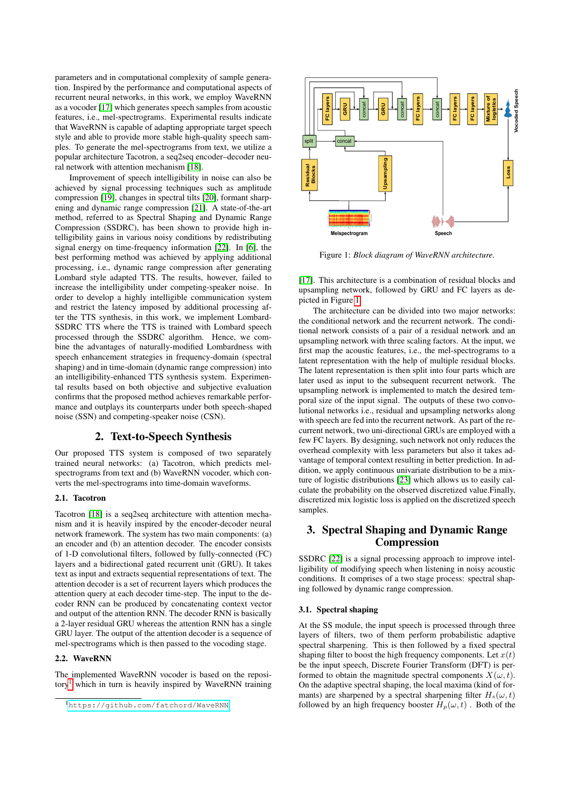parameters and in computational complexity of sample generation. Inspired by the performance and computational aspects of recurrent neural networks, in this work, we employ WaveRNN as a vocoder [\[17\]](#page-4-16) which generates speech samples from acoustic features, i.e., mel-spectrograms. Experimental results indicate that WaveRNN is capable of adapting appropriate target speech style and able to provide more stable high-quality speech samples. To generate the mel-spectrograms from text, we utilize a popular architecture Tacotron, a seq2seq encoder–decoder neural network with attention mechanism [\[18\]](#page-4-17).

Improvement of speech intelligibility in noise can also be achieved by signal processing techniques such as amplitude compression [\[19\]](#page-4-18), changes in spectral tilts [\[20\]](#page-4-19), formant sharpening and dynamic range compression [\[21\]](#page-4-20). A state-of-the-art method, referred to as Spectral Shaping and Dynamic Range Compression (SSDRC), has been shown to provide high intelligibility gains in various noisy conditions by redistributing signal energy on time-frequency information [\[22\]](#page-4-21). In [\[6\]](#page-4-5), the best performing method was achieved by applying additional processing, i.e., dynamic range compression after generating Lombard style adapted TTS. The results, however, failed to increase the intelligibility under competing-speaker noise. In order to develop a highly intelligible communication system and restrict the latency imposed by additional processing after the TTS synthesis, in this work, we implement Lombard-SSDRC TTS where the TTS is trained with Lombard speech processed through the SSDRC algorithm. Hence, we combine the advantages of naturally-modified Lombardness with speech enhancement strategies in frequency-domain (spectral shaping) and in time-domain (dynamic range compression) into an intelligibility-enhanced TTS synthesis system. Experimental results based on both objective and subjective evaluation confirms that the proposed method achieves remarkable performance and outplays its counterparts under both speech-shaped noise (SSN) and competing-speaker noise (CSN).

# 2. Text-to-Speech Synthesis

Our proposed TTS system is composed of two separately trained neural networks: (a) Tacotron, which predicts melspectrograms from text and (b) WaveRNN vocoder, which converts the mel-spectrograms into time-domain waveforms.

#### 2.1. Tacotron

Tacotron [\[18\]](#page-4-17) is a seq2seq architecture with attention mechanism and it is heavily inspired by the encoder-decoder neural network framework. The system has two main components: (a) an encoder and (b) an attention decoder. The encoder consists of 1-D convolutional filters, followed by fully-connected (FC) layers and a bidirectional gated recurrent unit (GRU). It takes text as input and extracts sequential representations of text. The attention decoder is a set of recurrent layers which produces the attention query at each decoder time-step. The input to the decoder RNN can be produced by concatenating context vector and output of the attention RNN. The decoder RNN is basically a 2-layer residual GRU whereas the attention RNN has a single GRU layer. The output of the attention decoder is a sequence of mel-spectrograms which is then passed to the vocoding stage.

#### 2.2. WaveRNN

The implemented WaveRNN vocoder is based on the reposi- $\text{tory}^1$  $\text{tory}^1$  which in turn is heavily inspired by WaveRNN training

<span id="page-1-1"></span>

Figure 1: *Block diagram of WaveRNN architecture.*

[\[17\]](#page-4-16). This architecture is a combination of residual blocks and upsampling network, followed by GRU and FC layers as depicted in Figure [1.](#page-1-1)

The architecture can be divided into two major networks: the conditional network and the recurrent network. The conditional network consists of a pair of a residual network and an upsampling network with three scaling factors. At the input, we first map the acoustic features, i.e., the mel-spectrograms to a latent representation with the help of multiple residual blocks. The latent representation is then split into four parts which are later used as input to the subsequent recurrent network. The upsampling network is implemented to match the desired temporal size of the input signal. The outputs of these two convolutional networks i.e., residual and upsampling networks along with speech are fed into the recurrent network. As part of the recurrent network, two uni-directional GRUs are employed with a few FC layers. By designing, such network not only reduces the overhead complexity with less parameters but also it takes advantage of temporal context resulting in better prediction. In addition, we apply continuous univariate distribution to be a mixture of logistic distributions [\[23\]](#page-4-22) which allows us to easily calculate the probability on the observed discretized value.Finally, discretized mix logistic loss is applied on the discretized speech samples.

# 3. Spectral Shaping and Dynamic Range Compression

SSDRC [\[22\]](#page-4-21) is a signal processing approach to improve intelligibility of modifying speech when listening in noisy acoustic conditions. It comprises of a two stage process: spectral shaping followed by dynamic range compression.

#### 3.1. Spectral shaping

At the SS module, the input speech is processed through three layers of filters, two of them perform probabilistic adaptive spectral sharpening. This is then followed by a fixed spectral shaping filter to boost the high frequency components. Let  $x(t)$ be the input speech, Discrete Fourier Transform (DFT) is performed to obtain the magnitude spectral components  $X(\omega, t)$ . On the adaptive spectral shaping, the local maxima (kind of formants) are sharpened by a spectral sharpening filter  $H_s(\omega, t)$ followed by an high frequency booster  $H_p(\omega, t)$ . Both of the

<span id="page-1-0"></span><sup>1</sup><https://github.com/fatchord/WaveRNN>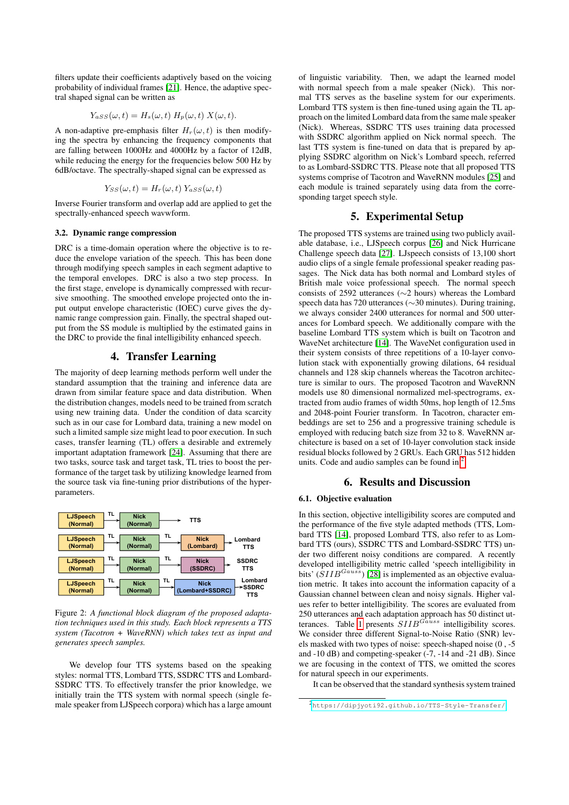filters update their coefficients adaptively based on the voicing probability of individual frames [\[21\]](#page-4-20). Hence, the adaptive spectral shaped signal can be written as

$$
Y_{aSS}(\omega, t) = H_s(\omega, t) H_p(\omega, t) X(\omega, t).
$$

A non-adaptive pre-emphasis filter  $H_r(\omega, t)$  is then modifying the spectra by enhancing the frequency components that are falling between 1000Hz and 4000Hz by a factor of 12dB, while reducing the energy for the frequencies below 500 Hz by 6dB/octave. The spectrally-shaped signal can be expressed as

$$
Y_{SS}(\omega, t) = H_r(\omega, t) Y_{ASS}(\omega, t)
$$

Inverse Fourier transform and overlap add are applied to get the spectrally-enhanced speech wavwform.

#### 3.2. Dynamic range compression

DRC is a time-domain operation where the objective is to reduce the envelope variation of the speech. This has been done through modifying speech samples in each segment adaptive to the temporal envelopes. DRC is also a two step process. In the first stage, envelope is dynamically compressed with recursive smoothing. The smoothed envelope projected onto the input output envelope characteristic (IOEC) curve gives the dynamic range compression gain. Finally, the spectral shaped output from the SS module is multiplied by the estimated gains in the DRC to provide the final intelligibility enhanced speech.

# 4. Transfer Learning

The majority of deep learning methods perform well under the standard assumption that the training and inference data are drawn from similar feature space and data distribution. When the distribution changes, models need to be trained from scratch using new training data. Under the condition of data scarcity such as in our case for Lombard data, training a new model on such a limited sample size might lead to poor execution. In such cases, transfer learning (TL) offers a desirable and extremely important adaptation framework [\[24\]](#page-4-23). Assuming that there are two tasks, source task and target task, TL tries to boost the performance of the target task by utilizing knowledge learned from the source task via fine-tuning prior distributions of the hyperparameters.



Figure 2: *A functional block diagram of the proposed adaptation techniques used in this study. Each block represents a TTS system (Tacotron + WaveRNN) which takes text as input and generates speech samples.*

We develop four TTS systems based on the speaking styles: normal TTS, Lombard TTS, SSDRC TTS and Lombard-SSDRC TTS. To effectively transfer the prior knowledge, we initially train the TTS system with normal speech (single female speaker from LJSpeech corpora) which has a large amount of linguistic variability. Then, we adapt the learned model with normal speech from a male speaker (Nick). This normal TTS serves as the baseline system for our experiments. Lombard TTS system is then fine-tuned using again the TL approach on the limited Lombard data from the same male speaker (Nick). Whereas, SSDRC TTS uses training data processed with SSDRC algorithm applied on Nick normal speech. The last TTS system is fine-tuned on data that is prepared by applying SSDRC algorithm on Nick's Lombard speech, referred to as Lombard-SSDRC TTS. Please note that all proposed TTS systems comprise of Tacotron and WaveRNN modules [\[25\]](#page-4-24) and each module is trained separately using data from the corresponding target speech style.

# 5. Experimental Setup

The proposed TTS systems are trained using two publicly available database, i.e., LJSpeech corpus [\[26\]](#page-4-25) and Nick Hurricane Challenge speech data [\[27\]](#page-4-26). LJspeech consists of 13,100 short audio clips of a single female professional speaker reading passages. The Nick data has both normal and Lombard styles of British male voice professional speech. The normal speech consists of 2592 utterances (∼2 hours) whereas the Lombard speech data has 720 utterances (∼30 minutes). During training, we always consider 2400 utterances for normal and 500 utterances for Lombard speech. We additionally compare with the baseline Lombard TTS system which is built on Tacotron and WaveNet architecture [\[14\]](#page-4-13). The WaveNet configuration used in their system consists of three repetitions of a 10-layer convolution stack with exponentially growing dilations, 64 residual channels and 128 skip channels whereas the Tacotron architecture is similar to ours. The proposed Tacotron and WaveRNN models use 80 dimensional normalized mel-spectrograms, extracted from audio frames of width 50ms, hop length of 12.5ms and 2048-point Fourier transform. In Tacotron, character embeddings are set to 256 and a progressive training schedule is employed with reducing batch size from 32 to 8. WaveRNN architecture is based on a set of 10-layer convolution stack inside residual blocks followed by 2 GRUs. Each GRU has 512 hidden units. Code and audio samples can be found in  $2$ .

### 6. Results and Discussion

#### 6.1. Objective evaluation

In this section, objective intelligibility scores are computed and the performance of the five style adapted methods (TTS, Lombard TTS [\[14\]](#page-4-13), proposed Lombard TTS, also refer to as Lombard TTS (ours), SSDRC TTS and Lombard-SSDRC TTS) under two different noisy conditions are compared. A recently developed intelligibility metric called 'speech intelligibility in bits' ( $SIIB^{Gauss}$ ) [\[28\]](#page-4-27) is implemented as an objective evaluation metric. It takes into account the information capacity of a Gaussian channel between clean and noisy signals. Higher values refer to better intelligibility. The scores are evaluated from 250 utterances and each adaptation approach has 50 distinct ut-terances. Table [1](#page-3-0) presents  $SIIB^{Gauss}$  intelligibility scores. We consider three different Signal-to-Noise Ratio (SNR) levels masked with two types of noise: speech-shaped noise (0 , -5 and -10 dB) and competing-speaker (-7, -14 and -21 dB). Since we are focusing in the context of TTS, we omitted the scores for natural speech in our experiments.

It can be observed that the standard synthesis system trained

<span id="page-2-0"></span><sup>2</sup><https://dipjyoti92.github.io/TTS-Style-Transfer/>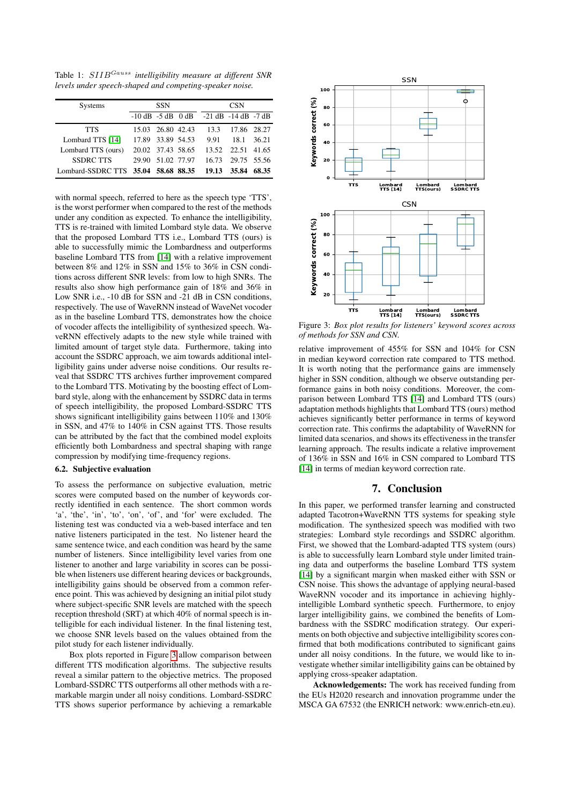<span id="page-3-0"></span>Table 1: SIIBGauss *intelligibility measure at different SNR levels under speech-shaped and competing-speaker noise.*

| <b>Systems</b>                      | <b>SSN</b>        |                   |  | <b>CSN</b>                                        |                   |       |
|-------------------------------------|-------------------|-------------------|--|---------------------------------------------------|-------------------|-------|
|                                     |                   |                   |  | $-10$ dB $-5$ dB $0$ dB $-21$ dB $-14$ dB $-7$ dB |                   |       |
| <b>TTS</b>                          |                   | 15.03 26.80 42.43 |  | 13.3                                              | 17.86 28.27       |       |
| Lombard TTS [14]                    |                   | 17.89 33.89 54.53 |  | 9.91                                              | 18.1              | 36.21 |
| Lombard TTS (ours)                  | 20.02 37.43 58.65 |                   |  |                                                   | 13.52 22.51 41.65 |       |
| <b>SSDRC TTS</b>                    |                   | 29.90 51.02 77.97 |  | 16.73                                             | 29.75 55.56       |       |
| Lombard-SSDRC TTS 35.04 58.68 88.35 |                   |                   |  | 19.13                                             | 35.84             | 68.35 |

with normal speech, referred to here as the speech type 'TTS', is the worst performer when compared to the rest of the methods under any condition as expected. To enhance the intelligibility, TTS is re-trained with limited Lombard style data. We observe that the proposed Lombard TTS i.e., Lombard TTS (ours) is able to successfully mimic the Lombardness and outperforms baseline Lombard TTS from [\[14\]](#page-4-13) with a relative improvement between 8% and 12% in SSN and 15% to 36% in CSN conditions across different SNR levels: from low to high SNRs. The results also show high performance gain of 18% and 36% in Low SNR i.e., -10 dB for SSN and -21 dB in CSN conditions, respectively. The use of WaveRNN instead of WaveNet vocoder as in the baseline Lombard TTS, demonstrates how the choice of vocoder affects the intelligibility of synthesized speech. WaveRNN effectively adapts to the new style while trained with limited amount of target style data. Furthermore, taking into account the SSDRC approach, we aim towards additional intelligibility gains under adverse noise conditions. Our results reveal that SSDRC TTS archives further improvement compared to the Lombard TTS. Motivating by the boosting effect of Lombard style, along with the enhancement by SSDRC data in terms of speech intelligibility, the proposed Lombard-SSDRC TTS shows significant intelligibility gains between 110% and 130% in SSN, and 47% to 140% in CSN against TTS. Those results can be attributed by the fact that the combined model exploits efficiently both Lombardness and spectral shaping with range compression by modifying time-frequency regions.

#### 6.2. Subjective evaluation

To assess the performance on subjective evaluation, metric scores were computed based on the number of keywords correctly identified in each sentence. The short common words 'a', 'the', 'in', 'to', 'on', 'of', and 'for' were excluded. The listening test was conducted via a web-based interface and ten native listeners participated in the test. No listener heard the same sentence twice, and each condition was heard by the same number of listeners. Since intelligibility level varies from one listener to another and large variability in scores can be possible when listeners use different hearing devices or backgrounds, intelligibility gains should be observed from a common reference point. This was achieved by designing an initial pilot study where subject-specific SNR levels are matched with the speech reception threshold (SRT) at which 40% of normal speech is intelligible for each individual listener. In the final listening test, we choose SNR levels based on the values obtained from the pilot study for each listener individually.

Box plots reported in Figure [3](#page-3-1) allow comparison between different TTS modification algorithms. The subjective results reveal a similar pattern to the objective metrics. The proposed Lombard-SSDRC TTS outperforms all other methods with a remarkable margin under all noisy conditions. Lombard-SSDRC TTS shows superior performance by achieving a remarkable

<span id="page-3-1"></span>

Figure 3: *Box plot results for listeners' keyword scores across of methods for SSN and CSN.*

relative improvement of 455% for SSN and 104% for CSN in median keyword correction rate compared to TTS method. It is worth noting that the performance gains are immensely higher in SSN condition, although we observe outstanding performance gains in both noisy conditions. Moreover, the comparison between Lombard TTS [\[14\]](#page-4-13) and Lombard TTS (ours) adaptation methods highlights that Lombard TTS (ours) method achieves significantly better performance in terms of keyword correction rate. This confirms the adaptability of WaveRNN for limited data scenarios, and shows its effectiveness in the transfer learning approach. The results indicate a relative improvement of 136% in SSN and 16% in CSN compared to Lombard TTS [\[14\]](#page-4-13) in terms of median keyword correction rate.

## 7. Conclusion

In this paper, we performed transfer learning and constructed adapted Tacotron+WaveRNN TTS systems for speaking style modification. The synthesized speech was modified with two strategies: Lombard style recordings and SSDRC algorithm. First, we showed that the Lombard-adapted TTS system (ours) is able to successfully learn Lombard style under limited training data and outperforms the baseline Lombard TTS system [\[14\]](#page-4-13) by a significant margin when masked either with SSN or CSN noise. This shows the advantage of applying neural-based WaveRNN vocoder and its importance in achieving highlyintelligible Lombard synthetic speech. Furthermore, to enjoy larger intelligibility gains, we combined the benefits of Lombardness with the SSDRC modification strategy. Our experiments on both objective and subjective intelligibility scores confirmed that both modifications contributed to significant gains under all noisy conditions. In the future, we would like to investigate whether similar intelligibility gains can be obtained by applying cross-speaker adaptation.

Acknowledgements: The work has received funding from the EUs H2020 research and innovation programme under the MSCA GA 67532 (the ENRICH network: www.enrich-etn.eu).